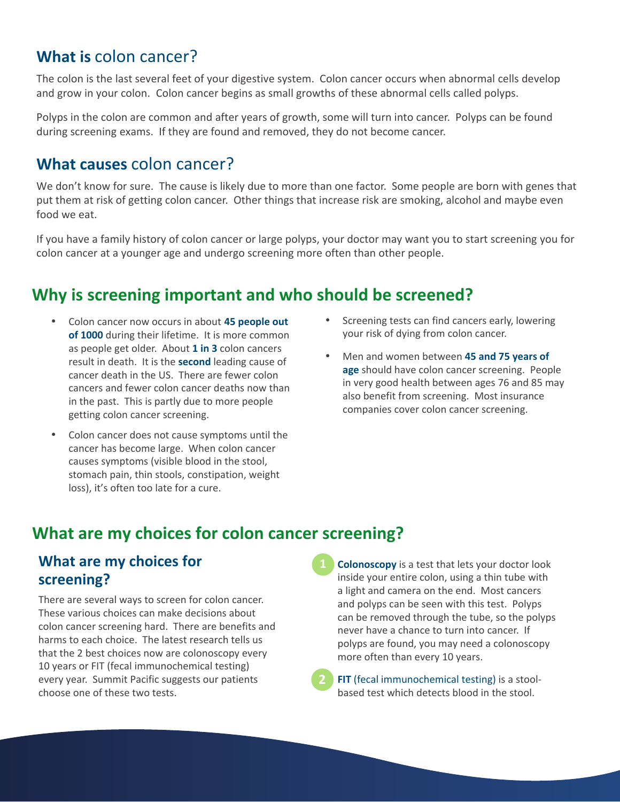#### What is colon cancer?

The colon is the last se eral feet of your digesti e system. Colon cancer occurs when abnormal cells develop and grow in your colon. Colon cancer begins as small growths of these abnormal cells called polyps.

Polyps in the colon are common and after years of growth, some will turn into cancer. Polyps can be found during screening exams. If they are found and removed, they do not become cancer.

#### What causes colon cancer?

We don t now for sure. The cause is likely due to more than one factor. Some people are born with genes that put them at risk of getting colon cancer. Other things that increase risk are smoking, alcohol and maybe even food we eat.

If you have a family history of colon cancer or large polyps, your doctor may want you to start screening you for colon cancer at a younger age and undergo screening more often than other people.

### Why is screening important and who should be screened?

45 people out **DAMMALI** of 1000 during their lifetime. It is more common as people get older. About 1 in 3 colon cancers result in death. It is the second e d n c seo c nce de n e . There are fewer colon cancers and fewer colon cancer deaths now than in the past. This is partly due to more people getting colon cancer screening.

- **WHAMMAND KIVPKUDVMI**
- **MUM45** and 75 years  $of$ age should ha e colon cancer screening. People in very good health between ages 76 and 85 may also benefit from screening. Most insurance companies cover colon cancer screening.

#### $\bullet$ **DANABAADH**

Voecome large. When colon cancer causes symptoms (visible blood in the stool, stomach pain, thin stools, constipation, weight loss), it's often too late for a cure.

### What are my choices for colon cancer screening?

#### What are my choices for screening?

There are se eral ways to screen for colon cancer. These various choices can make decisions about colon cancer screening hard. There are benefits and harms to each choice. The latest research tells us that the 2 best choices now are colonoscopy every 10 years or FIT (fecal immunochemical testing) every year. Summit Pacific suggests our patients choose one of these two tests.

**Colonoscopy** is a test that lets your doctor look inside your entire colon, using a thin tube with a light and camera on the end. Most cancers and polyps can be seen with this test. Polyps can be removed through the tube, so the polyps never have a chance to turn into cancer. If polyps are found, you may need a colonoscopy more often than every 10 years.

 $\Box$  [[fecal immunochemical testing] is a stoolbased test which detects blood in the stool.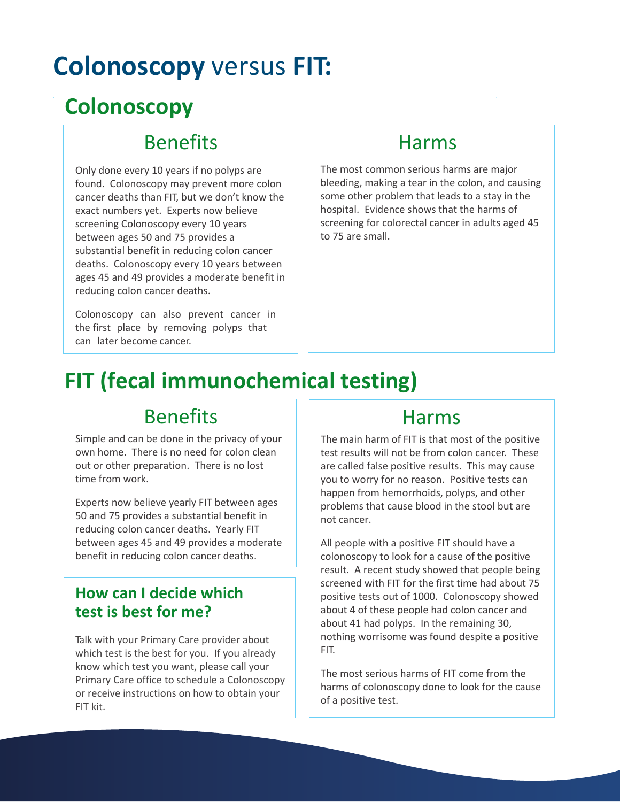# **Colonoscopy** versus **FIT:**

# **Colonoscopy**

## Benefits

Only done every 10 years if no polyps are found. Colonoscopy may prevent more colon cancer deaths than FIT, but we don't know the exact numbers yet. Experts now believe screening Colonoscopy every 10 years between ages 50 and 75 provides a substantial benefit in reducing colon cancer deaths. Colonoscopy every 10 years between ages 45 and 49 provides a moderate benefit in reducing colon cancer deaths.

Colonoscopy can also prevent cancer in the first place by removing polyps that can later become cancer.

### Harms

The most common serious harms are major bleeding, making a tear in the colon, and causing some other problem that leads to a stay in the hospital. Evidence shows that the harms of screening for colorectal cancer in adults aged 45 to 75 are small.

# **FIT (fecal immunochemical testing)**

## Benefits

Simple and can be done in the privacy of your own home. There is no need for colon clean out or other preparation. There is no lost time from work.

Experts now believe yearly FIT between ages 50 and 75 provides a substantial benefit in reducing colon cancer deaths. Yearly FIT between ages 45 and 49 provides a moderate benefit in reducing colon cancer deaths.

#### **How can I decide which test is best for me?**

Talk with your Primary Care provider about which test is the best for you. If you already know which test you want, please call your Primary Care office to schedule a Colonoscopy or receive instructions on how to obtain your FIT kit.

### Harms

The main harm of FIT is that most of the positive test results will not be from colon cancer. These are called false positive results. This may cause you to worry for no reason. Positive tests can happen from hemorrhoids, polyps, and other problems that cause blood in the stool but are not cancer.

All people with a positive FIT should have a colonoscopy to look for a cause of the positive result. A recent study showed that people being screened with FIT for the first time had about 75 positive tests out of 1000. Colonoscopy showed about 4 of these people had colon cancer and about 41 had polyps. In the remaining 30, nothing worrisome was found despite a positive FIT.

The most serious harms of FIT come from the harms of colonoscopy done to look for the cause of a positive test.